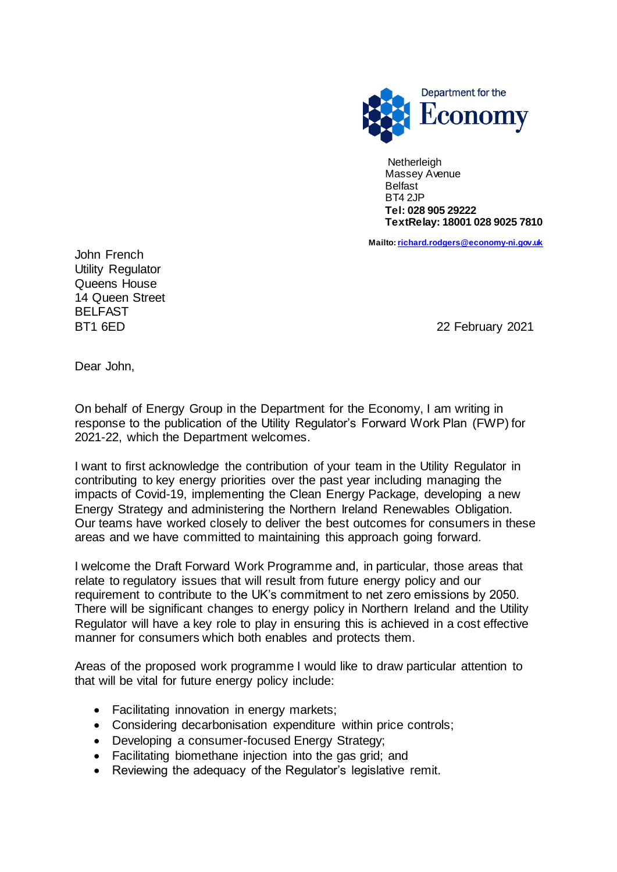

**Netherleigh**  Massey Avenue Belfast BT4 2JP  **Tel: 028 905 29222 TextRelay: 18001 028 9025 7810**

 **Mailto[: richard.rodgers@economy-ni.gov.uk](mailto:richard.rodgers@economy-ni.gov.uk)**

John French Utility Regulator Queens House 14 Queen Street BELFAST

BT1 6ED 22 February 2021

Dear John,

On behalf of Energy Group in the Department for the Economy, I am writing in response to the publication of the Utility Regulator's Forward Work Plan (FWP) for 2021-22, which the Department welcomes.

I want to first acknowledge the contribution of your team in the Utility Regulator in contributing to key energy priorities over the past year including managing the impacts of Covid-19, implementing the Clean Energy Package, developing a new Energy Strategy and administering the Northern Ireland Renewables Obligation. Our teams have worked closely to deliver the best outcomes for consumers in these areas and we have committed to maintaining this approach going forward.

I welcome the Draft Forward Work Programme and, in particular, those areas that relate to regulatory issues that will result from future energy policy and our requirement to contribute to the UK's commitment to net zero emissions by 2050. There will be significant changes to energy policy in Northern Ireland and the Utility Regulator will have a key role to play in ensuring this is achieved in a cost effective manner for consumers which both enables and protects them.

Areas of the proposed work programme I would like to draw particular attention to that will be vital for future energy policy include:

- Facilitating innovation in energy markets;
- Considering decarbonisation expenditure within price controls;
- Developing a consumer-focused Energy Strategy;
- Facilitating biomethane injection into the gas grid; and
- Reviewing the adequacy of the Regulator's legislative remit.